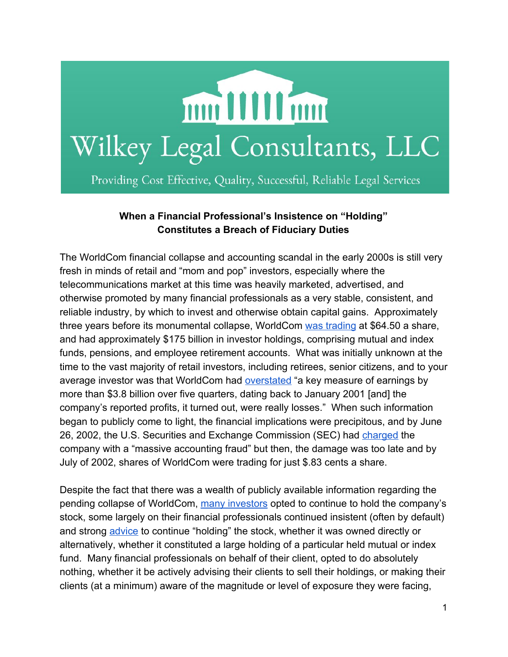

## **When a Financial Professional's Insistence on "Holding" Constitutes a Breach of Fiduciary Duties**

The WorldCom financial collapse and accounting scandal in the early 2000s is still very fresh in minds of retail and "mom and pop" investors, especially where the telecommunications market at this time was heavily marketed, advertised, and otherwise promoted by many financial professionals as a very stable, consistent, and reliable industry, by which to invest and otherwise obtain capital gains. Approximately three years before its monumental collapse, WorldCom was [trading](http://content.time.com/time/classroom/glenfall2002/pdfs/Business.pdf) at \$64.50 a share, and had approximately \$175 billion in investor holdings, comprising mutual and index funds, pensions, and employee retirement accounts. What was initially unknown at the time to the vast majority of retail investors, including retirees, senior citizens, and to your average investor was that WorldCom had [overstated](http://content.time.com/time/classroom/glenfall2002/pdfs/Business.pdf) "a key measure of earnings by more than \$3.8 billion over five quarters, dating back to January 2001 [and] the company's reported profits, it turned out, were really losses." When such information began to publicly come to light, the financial implications were precipitous, and by June 26, 2002, the U.S. Securities and Exchange Commission (SEC) had [charged](http://www.law.umaryland.edu/marshall/crsreports/crsdocuments/RS21253_08292002.pdf) the company with a "massive accounting fraud" but then, the damage was too late and by July of 2002, shares of WorldCom were trading for just \$.83 cents a share.

Despite the fact that there was a wealth of publicly available information regarding the pending collapse of WorldCom, many [investors](http://www.cnbc.com/2015/10/29/this-mistake-cost-one-worker-nearly-800000-dollars.html) opted to continue to hold the company's stock, some largely on their financial professionals continued insistent (often by default) and strong [advice](http://www.forbes.com/sites/peterjreilly/2011/09/27/worldcom-stock-losses-not-considered-theft-court-of-claims-rules/) to continue "holding" the stock, whether it was owned directly or alternatively, whether it constituted a large holding of a particular held mutual or index fund. Many financial professionals on behalf of their client, opted to do absolutely nothing, whether it be actively advising their clients to sell their holdings, or making their clients (at a minimum) aware of the magnitude or level of exposure they were facing,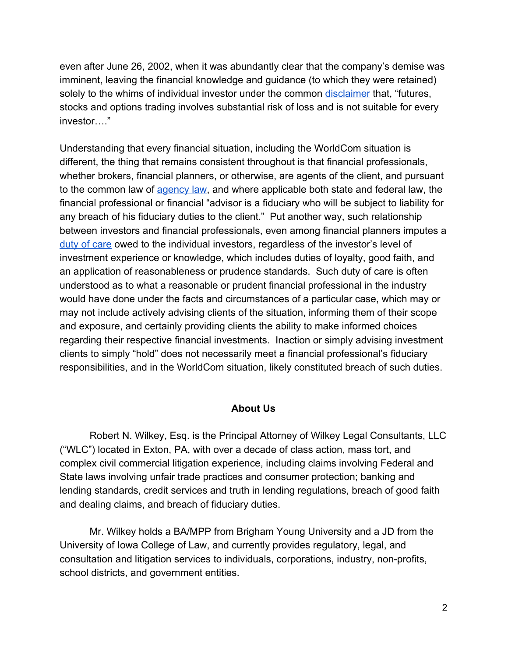even after June 26, 2002, when it was abundantly clear that the company's demise was imminent, leaving the financial knowledge and guidance (to which they were retained) solely to the whims of individual investor under the common [disclaimer](http://www.palgrave-journals.com/fsm/journal/v20/n1/full/fsm20152a.html) that, "futures, stocks and options trading involves substantial risk of loss and is not suitable for every investor…."

Understanding that every financial situation, including the WorldCom situation is different, the thing that remains consistent throughout is that financial professionals, whether brokers, financial planners, or otherwise, are agents of the client, and pursuant to the common law of [agency](http://www.thefiduciaryinstitute.org/wp-content/uploads/2013/07/Robert-H-Sitkoff.pdf) law, and where applicable both state and federal law, the financial professional or financial "advisor is a fiduciary who will be subject to liability for any breach of his fiduciary duties to the client." Put another way, such relationship between investors and financial professionals, even among financial planners imputes a duty of [care](http://www.thefiduciaryinstitute.org/wp-content/uploads/2013/07/Robert-H-Sitkoff.pdf) owed to the individual investors, regardless of the investor's level of investment experience or knowledge, which includes duties of loyalty, good faith, and an application of reasonableness or prudence standards. Such duty of care is often understood as to what a reasonable or prudent financial professional in the industry would have done under the facts and circumstances of a particular case, which may or may not include actively advising clients of the situation, informing them of their scope and exposure, and certainly providing clients the ability to make informed choices regarding their respective financial investments. Inaction or simply advising investment clients to simply "hold" does not necessarily meet a financial professional's fiduciary responsibilities, and in the WorldCom situation, likely constituted breach of such duties.

## **About Us**

Robert N. Wilkey, Esq. is the Principal Attorney of Wilkey Legal Consultants, LLC ("WLC") located in Exton, PA, with over a decade of class action, mass tort, and complex civil commercial litigation experience, including claims involving Federal and State laws involving unfair trade practices and consumer protection; banking and lending standards, credit services and truth in lending regulations, breach of good faith and dealing claims, and breach of fiduciary duties.

Mr. Wilkey holds a BA/MPP from Brigham Young University and a JD from the University of Iowa College of Law, and currently provides regulatory, legal, and consultation and litigation services to individuals, corporations, industry, non-profits, school districts, and government entities.